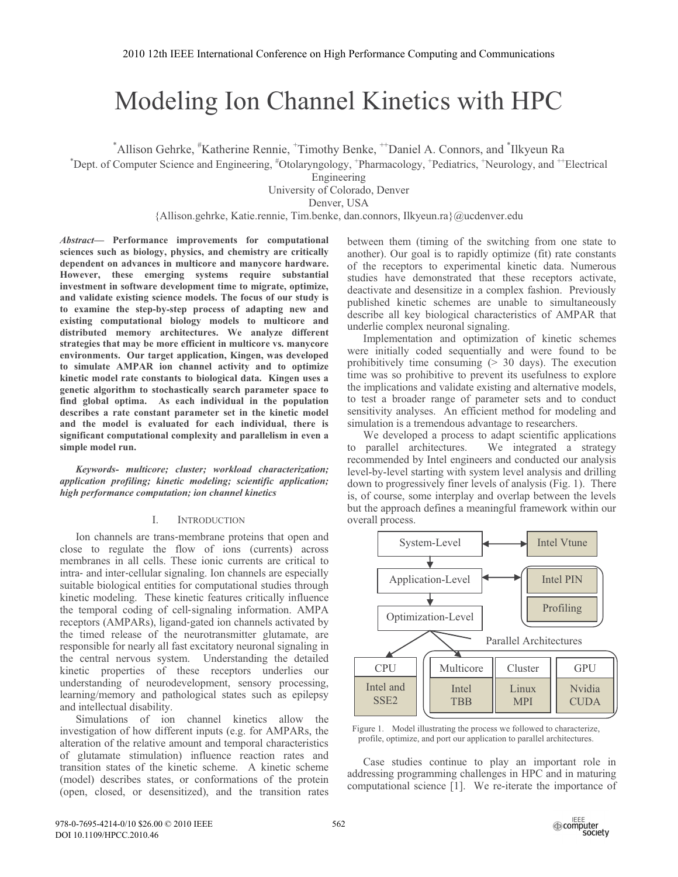# Modeling Ion Channel Kinetics with HPC

\*Allison Gehrke, <sup>#</sup>Katherine Rennie, <sup>+</sup>Timothy Benke, <sup>++</sup>Daniel A. Connors, and <sup>\*</sup>Ilkyeun Ra<br>\*Dept. of Computer Science and Engineering, <sup>#</sup>Otolar mgology, \*Pharmacelogy, \*Pediatrics, \*Naurology, and <sup>++</sup>1

Dept. of Computer Science and Engineering, "Otolaryngology, "Pharmacology, "Pediatrics, "Neurology, and "Electrical

Engineering

University of Colorado, Denver

Denver, USA

{Allison.gehrke, Katie.rennie, Tim.benke, dan.connors, Ilkyeun.ra}@ucdenver.edu

*Abstract***— Performance improvements for computational sciences such as biology, physics, and chemistry are critically dependent on advances in multicore and manycore hardware. However, these emerging systems require substantial investment in software development time to migrate, optimize, and validate existing science models. The focus of our study is to examine the step**-**by**-**step process of adapting new and existing computational biology models to multicore and distributed memory architectures. We analyze different strategies that may be more efficient in multicore vs. manycore environments. Our target application, Kingen, was developed to simulate AMPAR ion channel activity and to optimize kinetic model rate constants to biological data. Kingen uses a genetic algorithm to stochastically search parameter space to find global optima. As each individual in the population describes a rate constant parameter set in the kinetic model and the model is evaluated for each individual, there is significant computational complexity and parallelism in even a simple model run.** 

*Keywords- multicore; cluster; workload characterization; application profiling; kinetic modeling; scientific application; high performance computation; ion channel kinetics* 

#### I. INTRODUCTION

Ion channels are trans-membrane proteins that open and close to regulate the flow of ions (currents) across membranes in all cells. These ionic currents are critical to intra- and inter-cellular signaling. Ion channels are especially suitable biological entities for computational studies through kinetic modeling. These kinetic features critically influence the temporal coding of cell-signaling information. AMPA receptors (AMPARs), ligand-gated ion channels activated by the timed release of the neurotransmitter glutamate, are responsible for nearly all fast excitatory neuronal signaling in the central nervous system. Understanding the detailed kinetic properties of these receptors underlies our understanding of neurodevelopment, sensory processing, learning/memory and pathological states such as epilepsy and intellectual disability.

Simulations of ion channel kinetics allow the investigation of how different inputs (e.g. for AMPARs, the alteration of the relative amount and temporal characteristics of glutamate stimulation) influence reaction rates and transition states of the kinetic scheme. A kinetic scheme (model) describes states, or conformations of the protein (open, closed, or desensitized), and the transition rates

between them (timing of the switching from one state to another). Our goal is to rapidly optimize (fit) rate constants of the receptors to experimental kinetic data. Numerous studies have demonstrated that these receptors activate, deactivate and desensitize in a complex fashion. Previously published kinetic schemes are unable to simultaneously describe all key biological characteristics of AMPAR that underlie complex neuronal signaling.

Implementation and optimization of kinetic schemes were initially coded sequentially and were found to be prohibitively time consuming  $(> 30 \text{ days})$ . The execution time was so prohibitive to prevent its usefulness to explore the implications and validate existing and alternative models, to test a broader range of parameter sets and to conduct sensitivity analyses. An efficient method for modeling and simulation is a tremendous advantage to researchers.

We developed a process to adapt scientific applications to parallel architectures. We integrated a strategy recommended by Intel engineers and conducted our analysis level-by-level starting with system level analysis and drilling down to progressively finer levels of analysis (Fig. 1). There is, of course, some interplay and overlap between the levels but the approach defines a meaningful framework within our overall process.



Figure 1. Model illustrating the process we followed to characterize, profile, optimize, and port our application to parallel architectures.

Case studies continue to play an important role in addressing programming challenges in HPC and in maturing computational science [1]. We re-iterate the importance of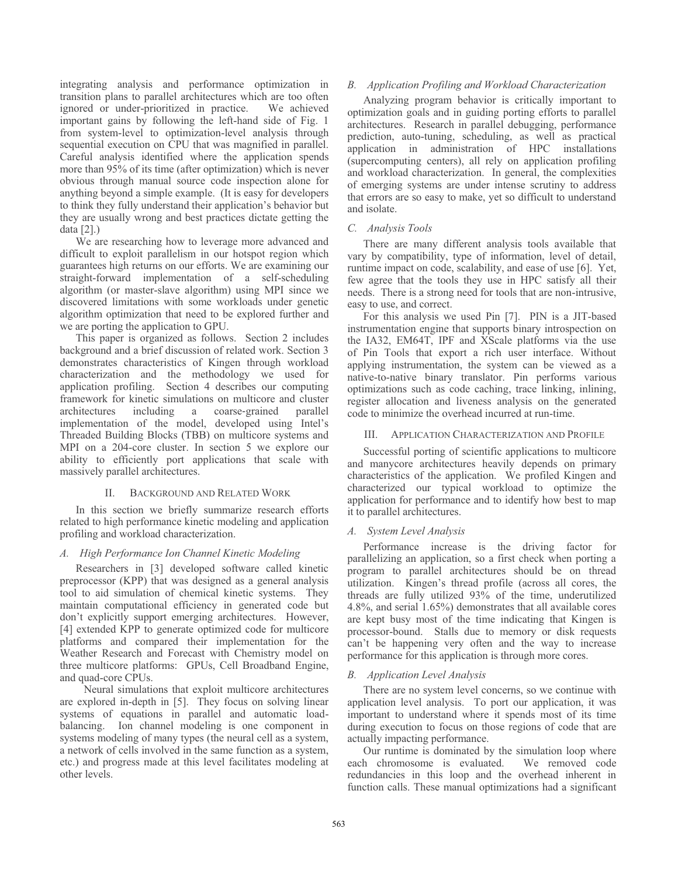integrating analysis and performance optimization in transition plans to parallel architectures which are too often ignored or under-prioritized in practice. We achieved important gains by following the left-hand side of Fig. 1 from system-level to optimization-level analysis through sequential execution on CPU that was magnified in parallel. Careful analysis identified where the application spends more than 95% of its time (after optimization) which is never obvious through manual source code inspection alone for anything beyond a simple example. (It is easy for developers to think they fully understand their application's behavior but they are usually wrong and best practices dictate getting the data [2].)

We are researching how to leverage more advanced and difficult to exploit parallelism in our hotspot region which guarantees high returns on our efforts. We are examining our straight-forward implementation of a self-scheduling algorithm (or master-slave algorithm) using MPI since we discovered limitations with some workloads under genetic algorithm optimization that need to be explored further and we are porting the application to GPU.

This paper is organized as follows. Section 2 includes background and a brief discussion of related work. Section 3 demonstrates characteristics of Kingen through workload characterization and the methodology we used for application profiling. Section 4 describes our computing framework for kinetic simulations on multicore and cluster architectures including a coarse-grained parallel implementation of the model, developed using Intel's Threaded Building Blocks (TBB) on multicore systems and MPI on a 204-core cluster. In section 5 we explore our ability to efficiently port applications that scale with massively parallel architectures.

## II. BACKGROUND AND RELATED WORK

In this section we briefly summarize research efforts related to high performance kinetic modeling and application profiling and workload characterization.

## *A. High Performance Ion Channel Kinetic Modeling*

Researchers in [3] developed software called kinetic preprocessor (KPP) that was designed as a general analysis tool to aid simulation of chemical kinetic systems. They maintain computational efficiency in generated code but don't explicitly support emerging architectures. However, [4] extended KPP to generate optimized code for multicore platforms and compared their implementation for the Weather Research and Forecast with Chemistry model on three multicore platforms: GPUs, Cell Broadband Engine, and quad-core CPUs.

 Neural simulations that exploit multicore architectures are explored in-depth in [5]. They focus on solving linear systems of equations in parallel and automatic loadbalancing. Ion channel modeling is one component in systems modeling of many types (the neural cell as a system, a network of cells involved in the same function as a system, etc.) and progress made at this level facilitates modeling at other levels.

## *B. Application Profiling and Workload Characterization*

Analyzing program behavior is critically important to optimization goals and in guiding porting efforts to parallel architectures. Research in parallel debugging, performance prediction, auto-tuning, scheduling, as well as practical application in administration of HPC installations (supercomputing centers), all rely on application profiling and workload characterization. In general, the complexities of emerging systems are under intense scrutiny to address that errors are so easy to make, yet so difficult to understand and isolate.

## *C. Analysis Tools*

There are many different analysis tools available that vary by compatibility, type of information, level of detail, runtime impact on code, scalability, and ease of use [6]. Yet, few agree that the tools they use in HPC satisfy all their needs. There is a strong need for tools that are non-intrusive, easy to use, and correct.

For this analysis we used Pin [7]. PIN is a JIT-based instrumentation engine that supports binary introspection on the IA32, EM64T, IPF and XScale platforms via the use of Pin Tools that export a rich user interface. Without applying instrumentation, the system can be viewed as a native-to-native binary translator. Pin performs various optimizations such as code caching, trace linking, inlining, register allocation and liveness analysis on the generated code to minimize the overhead incurred at run-time.

### III. APPLICATION CHARACTERIZATION AND PROFILE

Successful porting of scientific applications to multicore and manycore architectures heavily depends on primary characteristics of the application. We profiled Kingen and characterized our typical workload to optimize the application for performance and to identify how best to map it to parallel architectures.

#### *A. System Level Analysis*

Performance increase is the driving factor for parallelizing an application, so a first check when porting a program to parallel architectures should be on thread utilization. Kingen's thread profile (across all cores, the threads are fully utilized 93% of the time, underutilized 4.8%, and serial 1.65%) demonstrates that all available cores are kept busy most of the time indicating that Kingen is processor-bound. Stalls due to memory or disk requests can't be happening very often and the way to increase performance for this application is through more cores.

#### *B. Application Level Analysis*

There are no system level concerns, so we continue with application level analysis. To port our application, it was important to understand where it spends most of its time during execution to focus on those regions of code that are actually impacting performance.

Our runtime is dominated by the simulation loop where each chromosome is evaluated. We removed code redundancies in this loop and the overhead inherent in function calls. These manual optimizations had a significant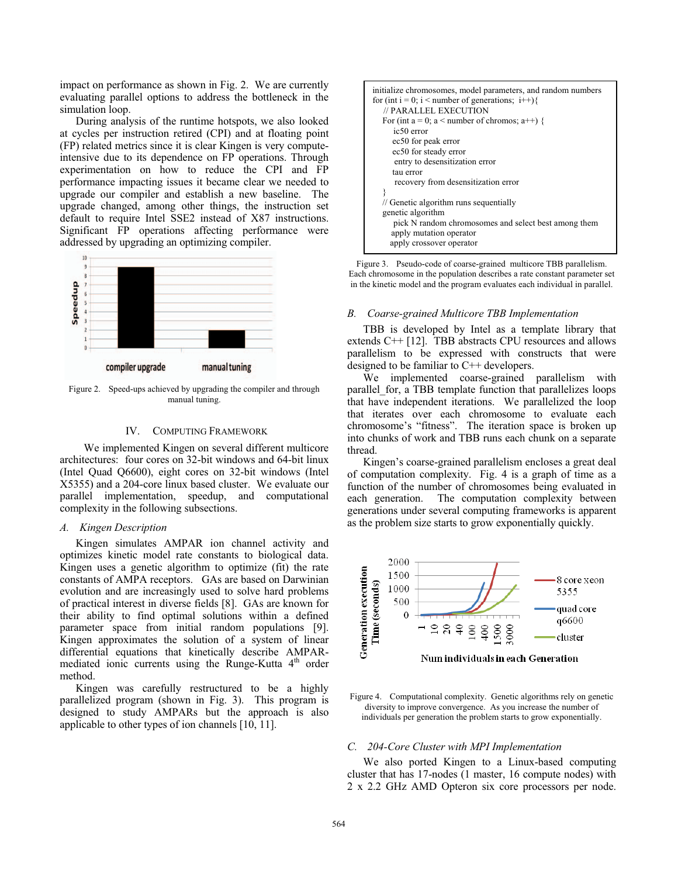impact on performance as shown in Fig. 2. We are currently evaluating parallel options to address the bottleneck in the simulation loop.

During analysis of the runtime hotspots, we also looked at cycles per instruction retired (CPI) and at floating point (FP) related metrics since it is clear Kingen is very computeintensive due to its dependence on FP operations. Through experimentation on how to reduce the CPI and FP performance impacting issues it became clear we needed to upgrade our compiler and establish a new baseline. The upgrade changed, among other things, the instruction set default to require Intel SSE2 instead of X87 instructions. Significant FP operations affecting performance were addressed by upgrading an optimizing compiler.



Figure 2. Speed-ups achieved by upgrading the compiler and through manual tuning.

#### IV. COMPUTING FRAMEWORK

 We implemented Kingen on several different multicore architectures: four cores on 32-bit windows and 64-bit linux (Intel Quad Q6600), eight cores on 32-bit windows (Intel X5355) and a 204-core linux based cluster. We evaluate our parallel implementation, speedup, and computational complexity in the following subsections.

## *A. Kingen Description*

Kingen simulates AMPAR ion channel activity and optimizes kinetic model rate constants to biological data. Kingen uses a genetic algorithm to optimize (fit) the rate constants of AMPA receptors. GAs are based on Darwinian evolution and are increasingly used to solve hard problems of practical interest in diverse fields [8]. GAs are known for their ability to find optimal solutions within a defined parameter space from initial random populations [9]. Kingen approximates the solution of a system of linear differential equations that kinetically describe AMPARmediated ionic currents using the Runge-Kutta  $4<sup>th</sup>$  order method.

Kingen was carefully restructured to be a highly parallelized program (shown in Fig. 3). This program is designed to study AMPARs but the approach is also applicable to other types of ion channels [10, 11].

```
initialize chromosomes, model parameters, and random numbers 
for (int i = 0; i < number of generations; i++){
    // PARALLEL EXECUTION 
  For (int a = 0; a < number of chromos; a++) {
      ic50 error 
     ec50 for peak error 
     ec50 for steady error 
      entry to desensitization error 
     tau error 
      recovery from desensitization error 
   } 
  // Genetic algorithm runs sequentially 
  genetic algorithm 
      pick N random chromosomes and select best among them 
      apply mutation operator 
      apply crossover operator
```
Figure 3. Pseudo-code of coarse-grained multicore TBB parallelism. Each chromosome in the population describes a rate constant parameter set in the kinetic model and the program evaluates each individual in parallel.

### *B. Coarse-grained Multicore TBB Implementation*

TBB is developed by Intel as a template library that extends C++ [12]. TBB abstracts CPU resources and allows parallelism to be expressed with constructs that were designed to be familiar to C++ developers.

We implemented coarse-grained parallelism with parallel\_for, a TBB template function that parallelizes loops that have independent iterations. We parallelized the loop that iterates over each chromosome to evaluate each chromosome's "fitness". The iteration space is broken up into chunks of work and TBB runs each chunk on a separate thread.

Kingen's coarse-grained parallelism encloses a great deal of computation complexity. Fig. 4 is a graph of time as a function of the number of chromosomes being evaluated in each generation. The computation complexity between generations under several computing frameworks is apparent as the problem size starts to grow exponentially quickly.



Figure 4. Computational complexity. Genetic algorithms rely on genetic diversity to improve convergence. As you increase the number of individuals per generation the problem starts to grow exponentially.

#### *C. 204-Core Cluster with MPI Implementation*

We also ported Kingen to a Linux-based computing cluster that has 17-nodes (1 master, 16 compute nodes) with 2 x 2.2 GHz AMD Opteron six core processors per node.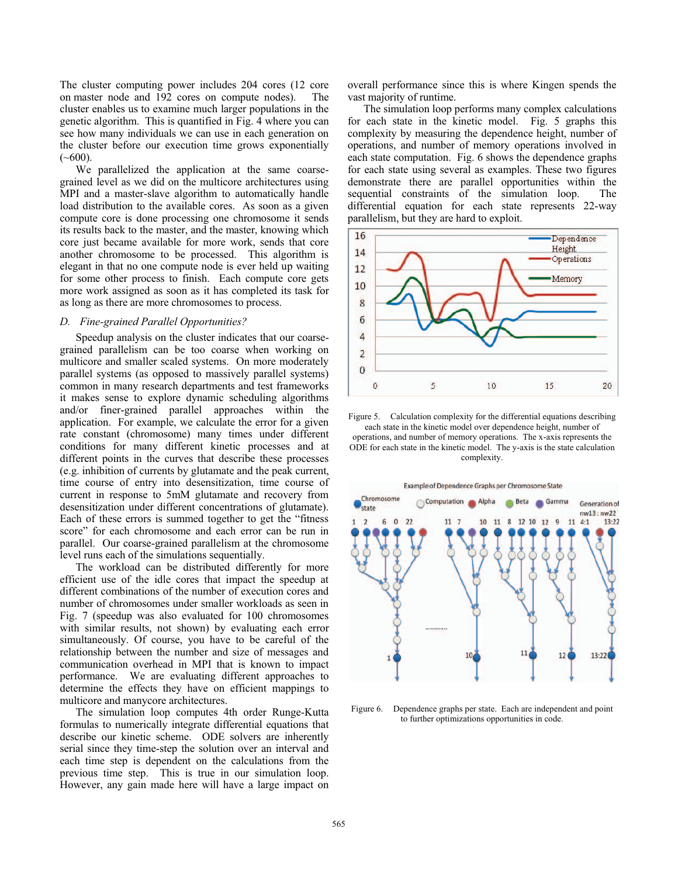The cluster computing power includes 204 cores (12 core on master node and 192 cores on compute nodes). The cluster enables us to examine much larger populations in the genetic algorithm. This is quantified in Fig. 4 where you can see how many individuals we can use in each generation on the cluster before our execution time grows exponentially  $(-600)$ .

We parallelized the application at the same coarsegrained level as we did on the multicore architectures using MPI and a master-slave algorithm to automatically handle load distribution to the available cores. As soon as a given compute core is done processing one chromosome it sends its results back to the master, and the master, knowing which core just became available for more work, sends that core another chromosome to be processed. This algorithm is elegant in that no one compute node is ever held up waiting for some other process to finish. Each compute core gets more work assigned as soon as it has completed its task for as long as there are more chromosomes to process.

## *D. Fine-grained Parallel Opportunities?*

Speedup analysis on the cluster indicates that our coarsegrained parallelism can be too coarse when working on multicore and smaller scaled systems. On more moderately parallel systems (as opposed to massively parallel systems) common in many research departments and test frameworks it makes sense to explore dynamic scheduling algorithms and/or finer-grained parallel approaches within the application. For example, we calculate the error for a given rate constant (chromosome) many times under different conditions for many different kinetic processes and at different points in the curves that describe these processes (e.g. inhibition of currents by glutamate and the peak current, time course of entry into desensitization, time course of current in response to 5mM glutamate and recovery from desensitization under different concentrations of glutamate). Each of these errors is summed together to get the "fitness score" for each chromosome and each error can be run in parallel. Our coarse-grained parallelism at the chromosome level runs each of the simulations sequentially.

The workload can be distributed differently for more efficient use of the idle cores that impact the speedup at different combinations of the number of execution cores and number of chromosomes under smaller workloads as seen in Fig. 7 (speedup was also evaluated for 100 chromosomes with similar results, not shown) by evaluating each error simultaneously. Of course, you have to be careful of the relationship between the number and size of messages and communication overhead in MPI that is known to impact performance. We are evaluating different approaches to determine the effects they have on efficient mappings to multicore and manycore architectures.

The simulation loop computes 4th order Runge-Kutta formulas to numerically integrate differential equations that describe our kinetic scheme. ODE solvers are inherently serial since they time-step the solution over an interval and each time step is dependent on the calculations from the previous time step. This is true in our simulation loop. However, any gain made here will have a large impact on

overall performance since this is where Kingen spends the vast majority of runtime.

The simulation loop performs many complex calculations for each state in the kinetic model. Fig. 5 graphs this complexity by measuring the dependence height, number of operations, and number of memory operations involved in each state computation. Fig. 6 shows the dependence graphs for each state using several as examples. These two figures demonstrate there are parallel opportunities within the sequential constraints of the simulation loop. The differential equation for each state represents 22-way parallelism, but they are hard to exploit.





operations, and number of memory operations. The x-axis represents the ODE for each state in the kinetic model. The y-axis is the state calculation complexity.



Figure 6. Dependence graphs per state. Each are independent and point to further optimizations opportunities in code.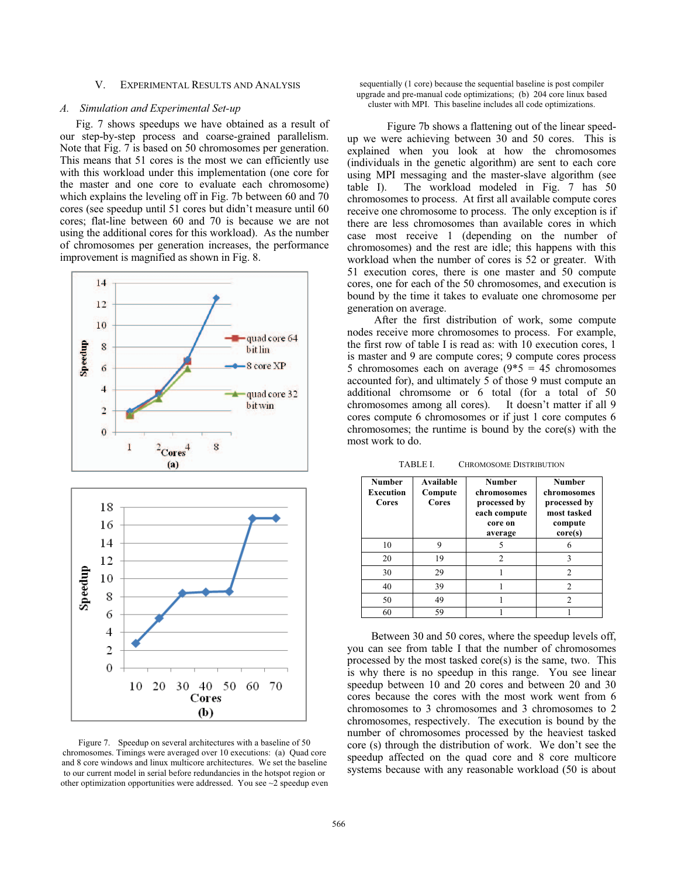### V. EXPERIMENTAL RESULTS AND ANALYSIS

## *A. Simulation and Experimental Set-up*

Fig. 7 shows speedups we have obtained as a result of our step-by-step process and coarse-grained parallelism. Note that Fig. 7 is based on 50 chromosomes per generation. This means that 51 cores is the most we can efficiently use with this workload under this implementation (one core for the master and one core to evaluate each chromosome) which explains the leveling off in Fig. 7b between 60 and 70 cores (see speedup until 51 cores but didn't measure until 60 cores; flat-line between 60 and 70 is because we are not using the additional cores for this workload). As the number of chromosomes per generation increases, the performance improvement is magnified as shown in Fig. 8.



Figure 7. Speedup on several architectures with a baseline of 50 chromosomes. Timings were averaged over 10 executions: (a) Quad core and 8 core windows and linux multicore architectures. We set the baseline to our current model in serial before redundancies in the hotspot region or other optimization opportunities were addressed. You see  $\sim$ 2 speedup even

sequentially (1 core) because the sequential baseline is post compiler upgrade and pre-manual code optimizations; (b) 204 core linux based cluster with MPI. This baseline includes all code optimizations.

 Figure 7b shows a flattening out of the linear speedup we were achieving between 30 and 50 cores. This is explained when you look at how the chromosomes (individuals in the genetic algorithm) are sent to each core using MPI messaging and the master-slave algorithm (see table I). The workload modeled in Fig. 7 has 50 chromosomes to process. At first all available compute cores receive one chromosome to process. The only exception is if there are less chromosomes than available cores in which case most receive 1 (depending on the number of chromosomes) and the rest are idle; this happens with this workload when the number of cores is 52 or greater. With 51 execution cores, there is one master and 50 compute cores, one for each of the 50 chromosomes, and execution is bound by the time it takes to evaluate one chromosome per generation on average.

 After the first distribution of work, some compute nodes receive more chromosomes to process. For example, the first row of table I is read as: with 10 execution cores, 1 is master and 9 are compute cores; 9 compute cores process 5 chromosomes each on average  $(9*5 = 45$  chromosomes accounted for), and ultimately 5 of those 9 must compute an additional chromsome or 6 total (for a total of 50 chromosomes among all cores). It doesn't matter if all 9 cores compute 6 chromosomes or if just 1 core computes 6 chromosomes; the runtime is bound by the core(s) with the most work to do.

| <b>Number</b><br><b>Execution</b><br>Cores | Available<br>Compute<br>Cores | <b>Number</b><br>chromosomes<br>processed by<br>each compute<br>core on<br>average | <b>Number</b><br>chromosomes<br>processed by<br>most tasked<br>compute<br>core(s) |
|--------------------------------------------|-------------------------------|------------------------------------------------------------------------------------|-----------------------------------------------------------------------------------|
| 10                                         | q                             |                                                                                    |                                                                                   |
| 20                                         | 19                            | $\mathfrak{D}$                                                                     | 3                                                                                 |
| 30                                         | 29                            |                                                                                    | 2                                                                                 |
| 40                                         | 39                            |                                                                                    | $\overline{c}$                                                                    |
| 50                                         | 49                            |                                                                                    | $\overline{c}$                                                                    |
| 60                                         | 59                            |                                                                                    |                                                                                   |

TABLE I. CHROMOSOME DISTRIBUTION

 Between 30 and 50 cores, where the speedup levels off, you can see from table I that the number of chromosomes processed by the most tasked core(s) is the same, two. This is why there is no speedup in this range. You see linear speedup between 10 and 20 cores and between 20 and 30 cores because the cores with the most work went from 6 chromosomes to 3 chromosomes and 3 chromosomes to 2 chromosomes, respectively. The execution is bound by the number of chromosomes processed by the heaviest tasked core (s) through the distribution of work. We don't see the speedup affected on the quad core and 8 core multicore systems because with any reasonable workload (50 is about